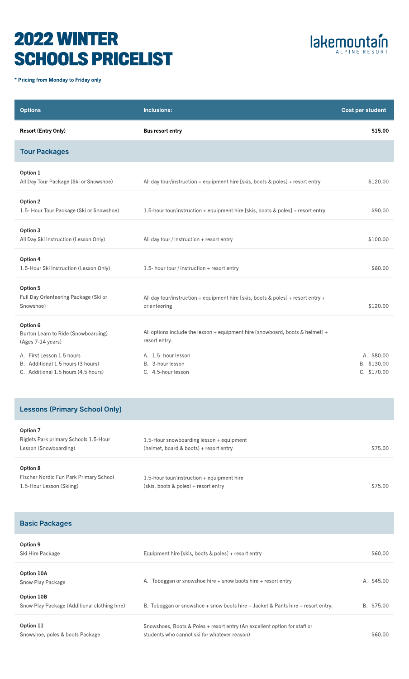## 2022 WINTER SCHOOLS PRICELIST



\* Pricing from Monday to Friday only

| <b>Options</b>                                                                                        | Inclusions:                                                                                        | Cost per student                         |
|-------------------------------------------------------------------------------------------------------|----------------------------------------------------------------------------------------------------|------------------------------------------|
| <b>Resort (Entry Only)</b>                                                                            | <b>Bus resort entry</b>                                                                            | \$15.00                                  |
| <b>Tour Packages</b>                                                                                  |                                                                                                    |                                          |
| Option 1<br>All Day Tour Package (Ski or Snowshoe)                                                    | All day tour/instruction + equipment hire [skis, boots & poles] + resort entry                     | \$120.00                                 |
| Option 2<br>1.5- Hour Tour Package (Ski or Snowshoe)                                                  | 1.5-hour tour/instruction + equipment hire [skis, boots & poles] + resort entry                    | \$90.00                                  |
| Option 3<br>All Day Ski Instruction (Lesson Only)                                                     | All day tour / instruction $+$ resort entry                                                        | \$100.00                                 |
| Option 4<br>1.5-Hour Ski Instruction (Lesson Only)                                                    | 1.5- hour tour / instruction + resort entry                                                        | \$60.00                                  |
| Option 5<br>Full Day Orienteering Package (Ski or<br>Snowshoe)                                        | All day tour/instruction + equipment hire [skis, boots & poles] + resort entry +<br>orienteering   | \$120.00                                 |
| Option 6<br>Burton Learn to Ride (Snowboarding)<br>(Ages 7-14 years)                                  | All options include the lesson $+$ equipment hire [snowboard, boots & helmet] $+$<br>resort entry. |                                          |
| A. First Lesson 1.5 hours<br>B. Additional 1.5 hours (3 hours)<br>C. Additional 1.5 hours (4.5 hours) | A. 1.5- hour lesson<br>B. 3-hour lesson<br>C. 4.5-hour lesson                                      | A. \$80.00<br>B. \$130.00<br>C. \$170.00 |

## Lessons (Primary School Only)

| Option 7                               |                                              |         |
|----------------------------------------|----------------------------------------------|---------|
| Riglets Park primary Schools 1.5-Hour  | 1.5-Hour snowboarding lesson $+$ equipment   |         |
| Lesson (Snowboarding)                  | (helmet, board & boots) + resort entry       | \$75.00 |
|                                        |                                              |         |
| Option 8                               |                                              |         |
| Fischer Nordic Fun Park Primary School | 1.5-hour tour/instruction $+$ equipment hire |         |
| 1.5-Hour Lesson (Skiing)               | (skis, boots & poles) + resort entry         | \$75.00 |

| <b>Basic Packages</b>                                      |                                                                                                                           |            |
|------------------------------------------------------------|---------------------------------------------------------------------------------------------------------------------------|------------|
| Option 9<br>Ski Hire Package                               | Equipment hire [skis, boots & poles] + resort entry                                                                       | \$60,00    |
| Option 10A<br>Snow Play Package                            | A. Toboggan or snowshoe hire $+$ snow boots hire $+$ resort entry                                                         | A. \$45.00 |
| Option 10B<br>Snow Play Package (Additional clothing hire) | B. Toboggan or snowshoe + snow boots hire + Jacket & Pants hire + resort entry.                                           | B. \$75.00 |
| Option 11<br>Snowshoe, poles & boots Package               | Snowshoes, Boots & Poles + resort entry (An excellent option for staff or<br>students who cannot ski for whatever reason) | \$60.00    |